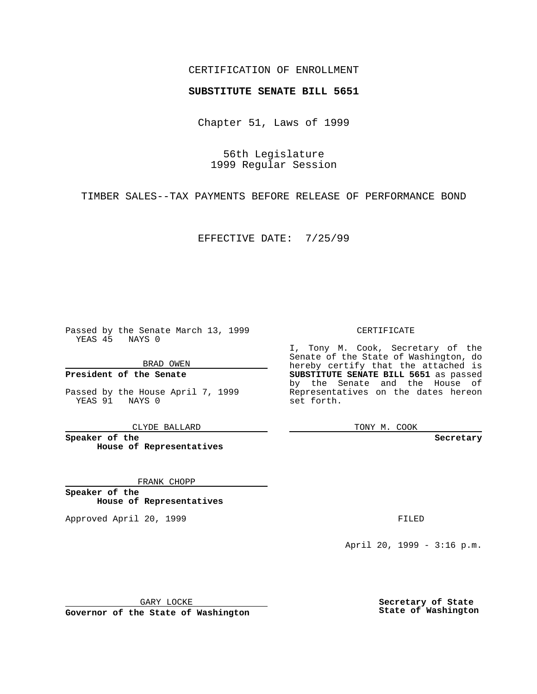### CERTIFICATION OF ENROLLMENT

# **SUBSTITUTE SENATE BILL 5651**

Chapter 51, Laws of 1999

56th Legislature 1999 Regular Session

TIMBER SALES--TAX PAYMENTS BEFORE RELEASE OF PERFORMANCE BOND

EFFECTIVE DATE: 7/25/99

Passed by the Senate March 13, 1999 YEAS 45 NAYS 0

BRAD OWEN

**President of the Senate**

Passed by the House April 7, 1999 YEAS 91 NAYS 0

CLYDE BALLARD

**Speaker of the House of Representatives**

FRANK CHOPP

**Speaker of the House of Representatives**

Approved April 20, 1999 **FILED** 

### CERTIFICATE

I, Tony M. Cook, Secretary of the Senate of the State of Washington, do hereby certify that the attached is **SUBSTITUTE SENATE BILL 5651** as passed by the Senate and the House of Representatives on the dates hereon set forth.

TONY M. COOK

**Secretary**

April 20, 1999 - 3:16 p.m.

GARY LOCKE

**Governor of the State of Washington**

**Secretary of State State of Washington**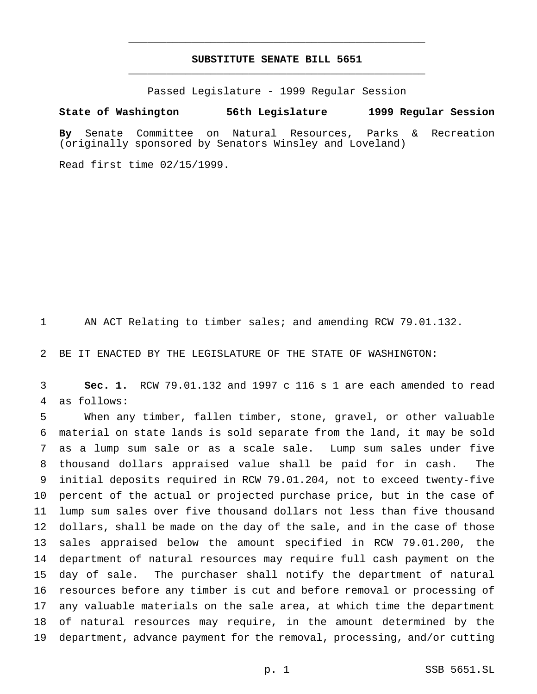## **SUBSTITUTE SENATE BILL 5651** \_\_\_\_\_\_\_\_\_\_\_\_\_\_\_\_\_\_\_\_\_\_\_\_\_\_\_\_\_\_\_\_\_\_\_\_\_\_\_\_\_\_\_\_\_\_\_

\_\_\_\_\_\_\_\_\_\_\_\_\_\_\_\_\_\_\_\_\_\_\_\_\_\_\_\_\_\_\_\_\_\_\_\_\_\_\_\_\_\_\_\_\_\_\_

Passed Legislature - 1999 Regular Session

#### **State of Washington 56th Legislature 1999 Regular Session**

**By** Senate Committee on Natural Resources, Parks & Recreation (originally sponsored by Senators Winsley and Loveland)

Read first time 02/15/1999.

AN ACT Relating to timber sales; and amending RCW 79.01.132.

BE IT ENACTED BY THE LEGISLATURE OF THE STATE OF WASHINGTON:

 **Sec. 1.** RCW 79.01.132 and 1997 c 116 s 1 are each amended to read as follows:

 When any timber, fallen timber, stone, gravel, or other valuable material on state lands is sold separate from the land, it may be sold as a lump sum sale or as a scale sale. Lump sum sales under five thousand dollars appraised value shall be paid for in cash. The initial deposits required in RCW 79.01.204, not to exceed twenty-five percent of the actual or projected purchase price, but in the case of lump sum sales over five thousand dollars not less than five thousand dollars, shall be made on the day of the sale, and in the case of those sales appraised below the amount specified in RCW 79.01.200, the department of natural resources may require full cash payment on the day of sale. The purchaser shall notify the department of natural resources before any timber is cut and before removal or processing of any valuable materials on the sale area, at which time the department of natural resources may require, in the amount determined by the department, advance payment for the removal, processing, and/or cutting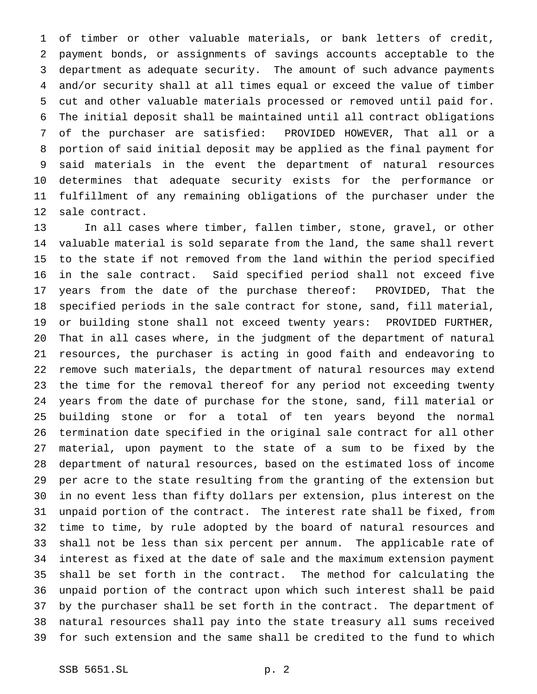of timber or other valuable materials, or bank letters of credit, payment bonds, or assignments of savings accounts acceptable to the department as adequate security. The amount of such advance payments and/or security shall at all times equal or exceed the value of timber cut and other valuable materials processed or removed until paid for. The initial deposit shall be maintained until all contract obligations of the purchaser are satisfied: PROVIDED HOWEVER, That all or a portion of said initial deposit may be applied as the final payment for said materials in the event the department of natural resources determines that adequate security exists for the performance or fulfillment of any remaining obligations of the purchaser under the sale contract.

 In all cases where timber, fallen timber, stone, gravel, or other valuable material is sold separate from the land, the same shall revert to the state if not removed from the land within the period specified in the sale contract. Said specified period shall not exceed five years from the date of the purchase thereof: PROVIDED, That the specified periods in the sale contract for stone, sand, fill material, or building stone shall not exceed twenty years: PROVIDED FURTHER, That in all cases where, in the judgment of the department of natural resources, the purchaser is acting in good faith and endeavoring to remove such materials, the department of natural resources may extend the time for the removal thereof for any period not exceeding twenty years from the date of purchase for the stone, sand, fill material or building stone or for a total of ten years beyond the normal termination date specified in the original sale contract for all other material, upon payment to the state of a sum to be fixed by the department of natural resources, based on the estimated loss of income per acre to the state resulting from the granting of the extension but in no event less than fifty dollars per extension, plus interest on the unpaid portion of the contract. The interest rate shall be fixed, from time to time, by rule adopted by the board of natural resources and shall not be less than six percent per annum. The applicable rate of interest as fixed at the date of sale and the maximum extension payment shall be set forth in the contract. The method for calculating the unpaid portion of the contract upon which such interest shall be paid by the purchaser shall be set forth in the contract. The department of natural resources shall pay into the state treasury all sums received for such extension and the same shall be credited to the fund to which